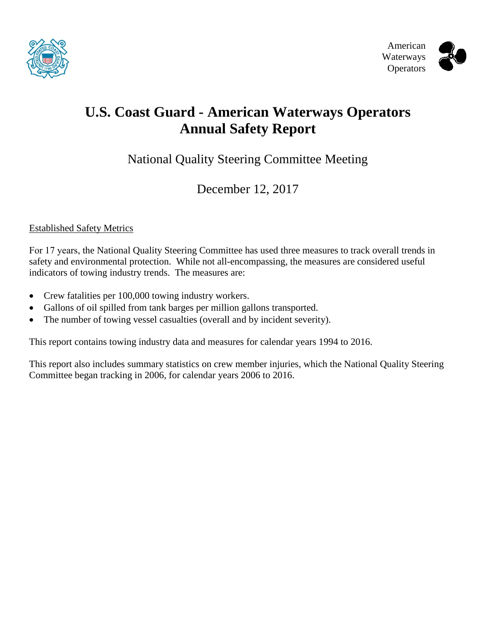



# **U.S. Coast Guard - American Waterways Operators Annual Safety Report**

National Quality Steering Committee Meeting

December 12, 2017

#### Established Safety Metrics

For 17 years, the National Quality Steering Committee has used three measures to track overall trends in safety and environmental protection. While not all-encompassing, the measures are considered useful indicators of towing industry trends. The measures are:

- Crew fatalities per 100,000 towing industry workers.
- Gallons of oil spilled from tank barges per million gallons transported.
- The number of towing vessel casualties (overall and by incident severity).

This report contains towing industry data and measures for calendar years 1994 to 2016.

This report also includes summary statistics on crew member injuries, which the National Quality Steering Committee began tracking in 2006, for calendar years 2006 to 2016.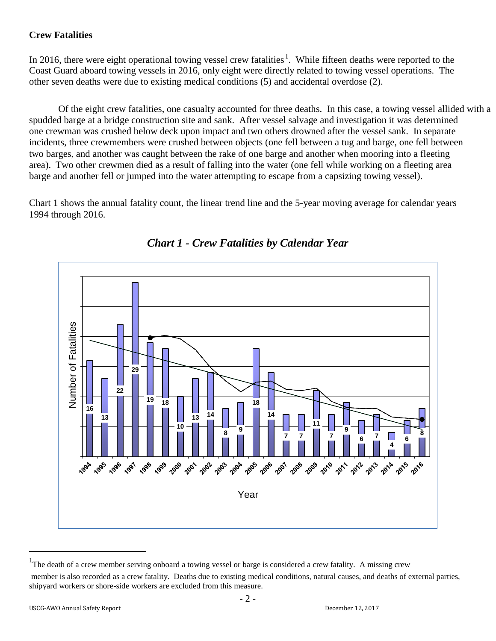## **Crew Fatalities**

In 20[1](#page-1-0)6, there were eight operational towing vessel crew fatalities<sup>1</sup>. While fifteen deaths were reported to the Coast Guard aboard towing vessels in 2016, only eight were directly related to towing vessel operations. The other seven deaths were due to existing medical conditions (5) and accidental overdose (2).

 Of the eight crew fatalities, one casualty accounted for three deaths. In this case, a towing vessel allided with a spudded barge at a bridge construction site and sank. After vessel salvage and investigation it was determined one crewman was crushed below deck upon impact and two others drowned after the vessel sank. In separate incidents, three crewmembers were crushed between objects (one fell between a tug and barge, one fell between two barges, and another was caught between the rake of one barge and another when mooring into a fleeting area). Two other crewmen died as a result of falling into the water (one fell while working on a fleeting area barge and another fell or jumped into the water attempting to escape from a capsizing towing vessel).

Chart 1 shows the annual fatality count, the linear trend line and the 5-year moving average for calendar years 1994 through 2016.



# *Chart 1 - Crew Fatalities by Calendar Year*

<span id="page-1-0"></span><sup>&</sup>lt;sup>1</sup>The death of a crew member serving onboard a towing vessel or barge is considered a crew fatality. A missing crew member is also recorded as a crew fatality. Deaths due to existing medical conditions, natural causes, and deaths of external parties, shipyard workers or shore-side workers are excluded from this measure.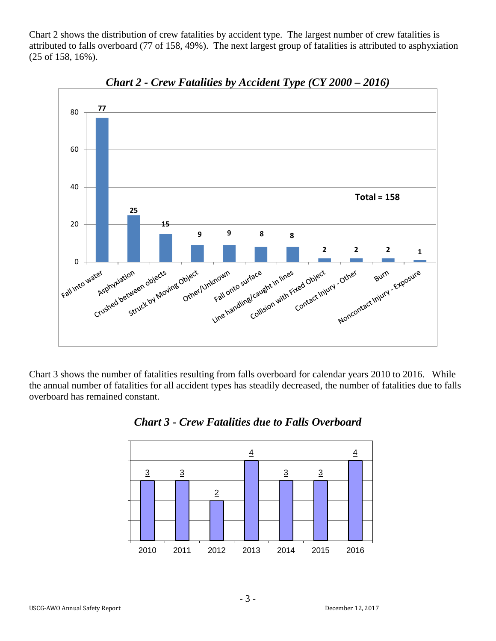Chart 2 shows the distribution of crew fatalities by accident type. The largest number of crew fatalities is attributed to falls overboard (77 of 158, 49%). The next largest group of fatalities is attributed to asphyxiation (25 of 158, 16%).



*Chart 2 - Crew Fatalities by Accident Type (CY 2000 – 2016)*

Chart 3 shows the number of fatalities resulting from falls overboard for calendar years 2010 to 2016. While the annual number of fatalities for all accident types has steadily decreased, the number of fatalities due to falls overboard has remained constant.



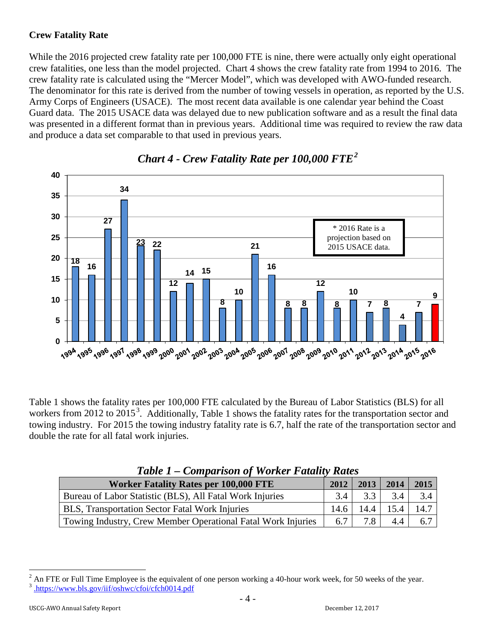## **Crew Fatality Rate**

While the 2016 projected crew fatality rate per 100,000 FTE is nine, there were actually only eight operational crew fatalities, one less than the model projected. Chart 4 shows the crew fatality rate from 1994 to 2016. The crew fatality rate is calculated using the "Mercer Model", which was developed with AWO-funded research. The denominator for this rate is derived from the number of towing vessels in operation, as reported by the U.S. Army Corps of Engineers (USACE). The most recent data available is one calendar year behind the Coast Guard data. The 2015 USACE data was delayed due to new publication software and as a result the final data was presented in a different format than in previous years. Additional time was required to review the raw data and produce a data set comparable to that used in previous years.



# *Chart 4 - Crew Fatality Rate per 100,000 FTE [2](#page-3-0)*

Table 1 shows the fatality rates per 100,000 FTE calculated by the Bureau of Labor Statistics (BLS) for all workers from 2012 to 2015<sup>[3](#page-3-1)</sup>. Additionally, Table 1 shows the fatality rates for the transportation sector and towing industry. For 2015 the towing industry fatality rate is 6.7, half the rate of the transportation sector and double the rate for all fatal work injuries.

| <b>Lable 1 – Comparison of Worker Fatality Kates</b>         |      |             |      |      |  |  |  |  |
|--------------------------------------------------------------|------|-------------|------|------|--|--|--|--|
| <b>Worker Fatality Rates per 100,000 FTE</b>                 | 2012 | 2013        | 2014 | 2015 |  |  |  |  |
| Bureau of Labor Statistic (BLS), All Fatal Work Injuries     | 3.4  | $3.3 \perp$ | 3.4  | 3.4  |  |  |  |  |
| BLS, Transportation Sector Fatal Work Injuries               | 14.6 | 14.4        | 15.4 | 14.7 |  |  |  |  |
| Towing Industry, Crew Member Operational Fatal Work Injuries | 6.7  | 7.8         | 4.4  | 6.7  |  |  |  |  |

# *Table 1 – Comparison of Worker Fatality Rates*

<span id="page-3-1"></span><span id="page-3-0"></span><sup>&</sup>lt;sup>2</sup> An FTE or Full Time Employee is the equivalent of one person working a 40-hour work week, for 50 weeks of the year.<br><sup>3</sup> [.https://www.bls.gov/iif/oshwc/cfoi/cfch0014.pdf](http://www.bls.gov/iif/oshwc/cfoi/cfch0013.pdf)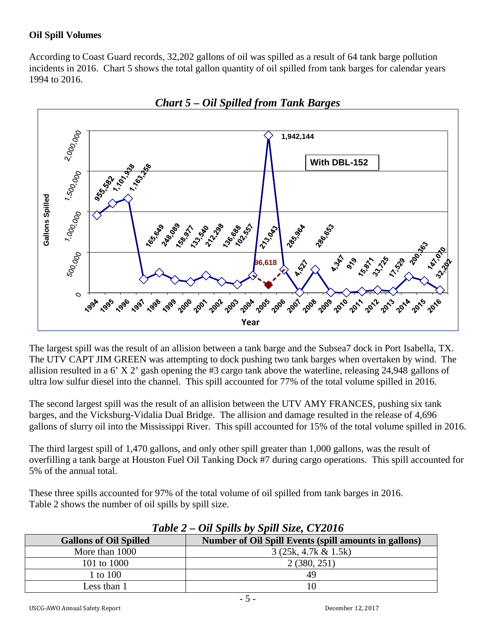### **Oil Spill Volumes**

According to Coast Guard records, 32,202 gallons of oil was spilled as a result of 64 tank barge pollution incidents in 2016. Chart 5 shows the total gallon quantity of oil spilled from tank barges for calendar years 1994 to 2016.



*Chart 5 – Oil Spilled from Tank Barges*

The largest spill was the result of an allision between a tank barge and the Subsea7 dock in Port Isabella, TX. The UTV CAPT JIM GREEN was attempting to dock pushing two tank barges when overtaken by wind. The allision resulted in a 6' X 2' gash opening the #3 cargo tank above the waterline, releasing 24,948 gallons of ultra low sulfur diesel into the channel. This spill accounted for 77% of the total volume spilled in 2016.

The second largest spill was the result of an allision between the UTV AMY FRANCES, pushing six tank barges, and the Vicksburg-Vidalia Dual Bridge. The allision and damage resulted in the release of 4,696 gallons of slurry oil into the Mississippi River. This spill accounted for 15% of the total volume spilled in 2016.

The third largest spill of 1,470 gallons, and only other spill greater than 1,000 gallons, was the result of overfilling a tank barge at Houston Fuel Oil Tanking Dock #7 during cargo operations. This spill accounted for 5% of the annual total.

These three spills accounted for 97% of the total volume of oil spilled from tank barges in 2016. Table 2 shows the number of oil spills by spill size.

| <b>Gallons of Oil Spilled</b> | Number of Oil Spill Events (spill amounts in gallons) |
|-------------------------------|-------------------------------------------------------|
| More than 1000                | $3(25k, 4.7k \& 1.5k)$                                |
| 101 to 1000                   | 2(380, 251)                                           |
| 1 to 100                      | 49                                                    |
| Less than 1                   | 10                                                    |

*Table 2 – Oil Spills by Spill Size, CY2016*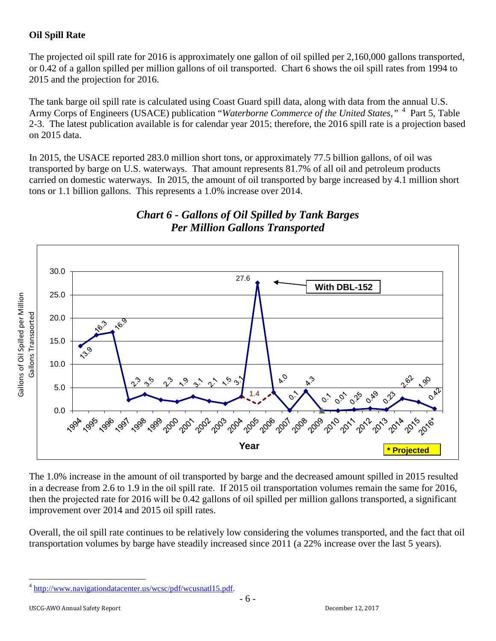## **Oil Spill Rate**

The projected oil spill rate for 2016 is approximately one gallon of oil spilled per 2,160,000 gallons transported, or 0.42 of a gallon spilled per million gallons of oil transported. Chart 6 shows the oil spill rates from 1994 to 2015 and the projection for 2016.

The tank barge oil spill rate is calculated using Coast Guard spill data, along with data from the annual U.S. Army Corps of Engineers (USACE) publication "Waterborne Commerce of the United States,"<sup>[4](#page-5-0)</sup> Part 5, Table 2-3. The latest publication available is for calendar year 2015; therefore, the 2016 spill rate is a projection based on 2015 data.

In 2015, the USACE reported 283.0 million short tons, or approximately 77.5 billion gallons, of oil was transported by barge on U.S. waterways. That amount represents 81.7% of all oil and petroleum products carried on domestic waterways. In 2015, the amount of oil transported by barge increased by 4.1 million short tons or 1.1 billion gallons. This represents a 1.0% increase over 2014.



# *Chart 6 - Gallons of Oil Spilled by Tank Barges Per Million Gallons Transported*

The 1.0% increase in the amount of oil transported by barge and the decreased amount spilled in 2015 resulted in a decrease from 2.6 to 1.9 in the oil spill rate. If 2015 oil transportation volumes remain the same for 2016, then the projected rate for 2016 will be 0.42 gallons of oil spilled per million gallons transported, a significant improvement over 2014 and 2015 oil spill rates.

Overall, the oil spill rate continues to be relatively low considering the volumes transported, and the fact that oil transportation volumes by barge have steadily increased since 2011 (a 22% increase over the last 5 years).

<span id="page-5-0"></span><sup>&</sup>lt;sup>4</sup> [http://www.navigationdatacenter.us/wcsc/pdf/wcusnatl15.pdf.](http://www.navigationdatacenter.us/wcsc/pdf/wcusnatl15.pdf)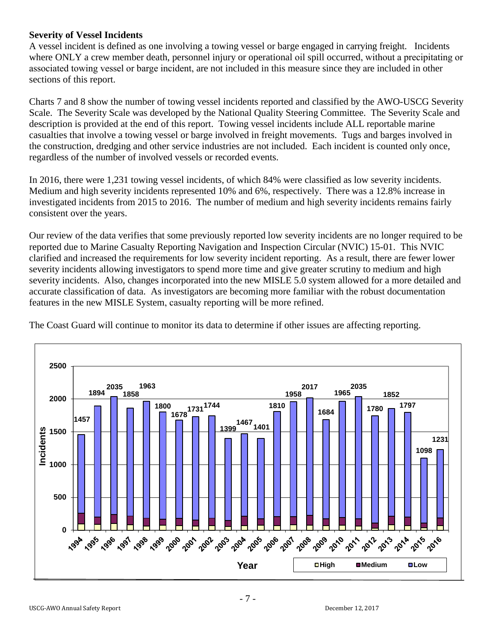#### **Severity of Vessel Incidents**

A vessel incident is defined as one involving a towing vessel or barge engaged in carrying freight. Incidents where ONLY a crew member death, personnel injury or operational oil spill occurred, without a precipitating or associated towing vessel or barge incident, are not included in this measure since they are included in other sections of this report.

Charts 7 and 8 show the number of towing vessel incidents reported and classified by the AWO-USCG Severity Scale. The Severity Scale was developed by the National Quality Steering Committee. The Severity Scale and description is provided at the end of this report. Towing vessel incidents include ALL reportable marine casualties that involve a towing vessel or barge involved in freight movements. Tugs and barges involved in the construction, dredging and other service industries are not included. Each incident is counted only once, regardless of the number of involved vessels or recorded events.

In 2016, there were 1,231 towing vessel incidents, of which 84% were classified as low severity incidents. Medium and high severity incidents represented 10% and 6%, respectively. There was a 12.8% increase in investigated incidents from 2015 to 2016. The number of medium and high severity incidents remains fairly consistent over the years.

Our review of the data verifies that some previously reported low severity incidents are no longer required to be reported due to Marine Casualty Reporting Navigation and Inspection Circular (NVIC) 15-01. This NVIC clarified and increased the requirements for low severity incident reporting. As a result, there are fewer lower severity incidents allowing investigators to spend more time and give greater scrutiny to medium and high severity incidents. Also, changes incorporated into the new MISLE 5.0 system allowed for a more detailed and accurate classification of data. As investigators are becoming more familiar with the robust documentation features in the new MISLE System, casualty reporting will be more refined.



The Coast Guard will continue to monitor its data to determine if other issues are affecting reporting.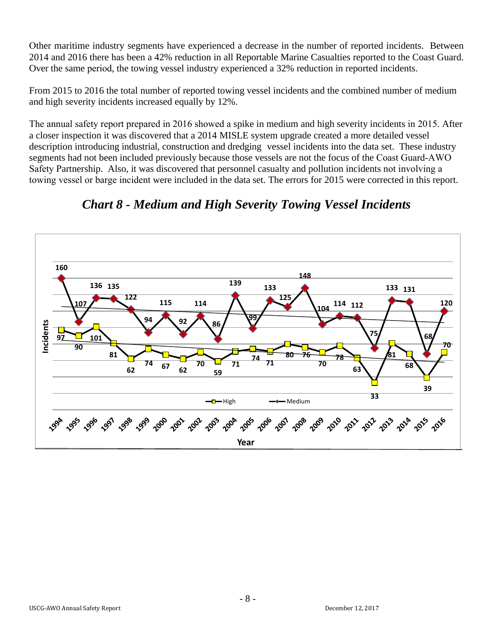Other maritime industry segments have experienced a decrease in the number of reported incidents. Between 2014 and 2016 there has been a 42% reduction in all Reportable Marine Casualties reported to the Coast Guard. Over the same period, the towing vessel industry experienced a 32% reduction in reported incidents.

From 2015 to 2016 the total number of reported towing vessel incidents and the combined number of medium and high severity incidents increased equally by 12%.

The annual safety report prepared in 2016 showed a spike in medium and high severity incidents in 2015. After a closer inspection it was discovered that a 2014 MISLE system upgrade created a more detailed vessel description introducing industrial, construction and dredging vessel incidents into the data set. These industry segments had not been included previously because those vessels are not the focus of the Coast Guard-AWO Safety Partnership. Also, it was discovered that personnel casualty and pollution incidents not involving a towing vessel or barge incident were included in the data set. The errors for 2015 were corrected in this report.



*Chart 8 - Medium and High Severity Towing Vessel Incidents*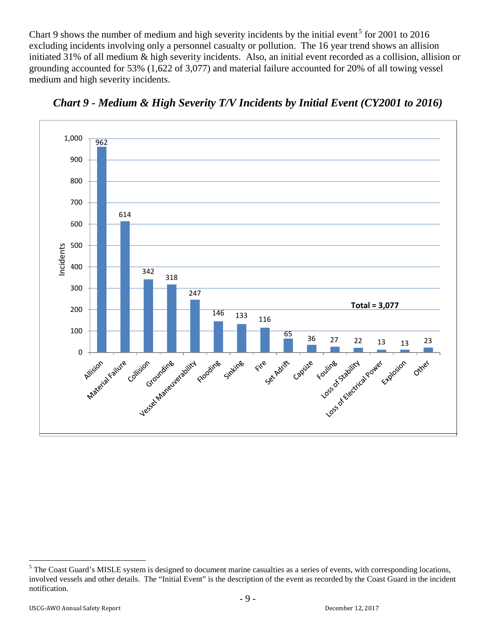Chart 9 shows the number of medium and high severity incidents by the initial event<sup>[5](#page-8-0)</sup> for 2001 to 2016 excluding incidents involving only a personnel casualty or pollution. The 16 year trend shows an allision initiated 31% of all medium & high severity incidents. Also, an initial event recorded as a collision, allision or grounding accounted for 53% (1,622 of 3,077) and material failure accounted for 20% of all towing vessel medium and high severity incidents.



*Chart 9 - Medium & High Severity T/V Incidents by Initial Event (CY2001 to 2016)* 

<span id="page-8-0"></span><sup>&</sup>lt;sup>5</sup> The Coast Guard's MISLE system is designed to document marine casualties as a series of events, with corresponding locations, involved vessels and other details. The "Initial Event" is the description of the event as recorded by the Coast Guard in the incident notification.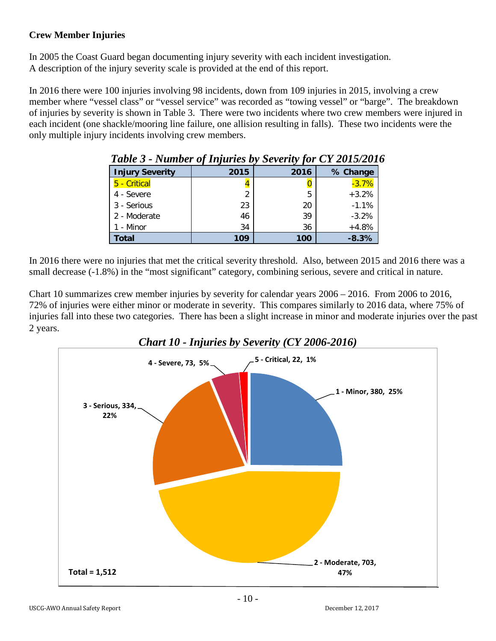## **Crew Member Injuries**

In 2005 the Coast Guard began documenting injury severity with each incident investigation. A description of the injury severity scale is provided at the end of this report.

In 2016 there were 100 injuries involving 98 incidents, down from 109 injuries in 2015, involving a crew member where "vessel class" or "vessel service" was recorded as "towing vessel" or "barge". The breakdown of injuries by severity is shown in Table 3. There were two incidents where two crew members were injured in each incident (one shackle/mooring line failure, one allision resulting in falls). These two incidents were the only multiple injury incidents involving crew members.

| <b>Lable 3 - Number of Injuries by Severity for CY 2015/2010</b> |      |      |          |  |  |
|------------------------------------------------------------------|------|------|----------|--|--|
| <b>Injury Severity</b>                                           | 2015 | 2016 | % Change |  |  |
| 5 - Critical                                                     |      |      | $-3.7%$  |  |  |
| 4 - Severe                                                       | 2    | 5    | $+3.2%$  |  |  |
| 3 - Serious                                                      | 23   | 20   | $-1.1%$  |  |  |
| 2 - Moderate                                                     | 46   | 39   | $-3.2%$  |  |  |
| 1 - Minor                                                        | 34   | 36   | $+4.8%$  |  |  |
| Total                                                            | 109  | 100  | $-8.3%$  |  |  |

In 2016 there were no injuries that met the critical severity threshold. Also, between 2015 and 2016 there was a small decrease (-1.8%) in the "most significant" category, combining serious, severe and critical in nature.

Chart 10 summarizes crew member injuries by severity for calendar years 2006 – 2016. From 2006 to 2016, 72% of injuries were either minor or moderate in severity. This compares similarly to 2016 data, where 75% of injuries fall into these two categories. There has been a slight increase in minor and moderate injuries over the past 2 years.

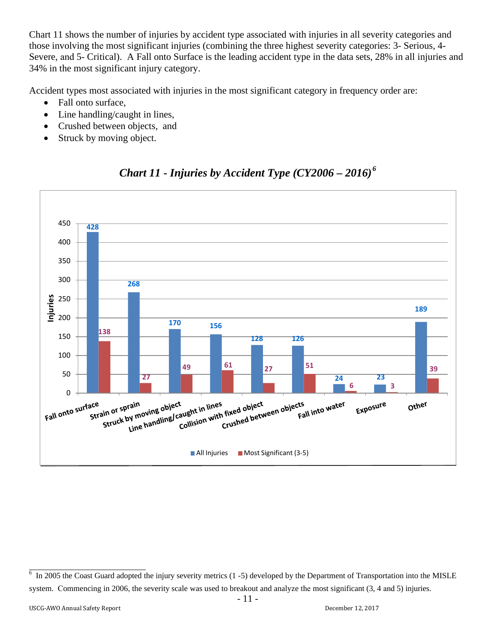Chart 11 shows the number of injuries by accident type associated with injuries in all severity categories and those involving the most significant injuries (combining the three highest severity categories: 3- Serious, 4- Severe, and 5- Critical). A Fall onto Surface is the leading accident type in the data sets, 28% in all injuries and 34% in the most significant injury category.

Accident types most associated with injuries in the most significant category in frequency order are:

- Fall onto surface,
- Line handling/caught in lines,
- Crushed between objects, and
- Struck by moving object.



# *Chart 11 - Injuries by Accident Type (CY2006 – 2016) [6](#page-10-0)*

<span id="page-10-0"></span><sup>6</sup> In 2005 the Coast Guard adopted the injury severity metrics (1 -5) developed by the Department of Transportation into the MISLE system. Commencing in 2006, the severity scale was used to breakout and analyze the most significant  $(3, 4 \text{ and } 5)$  injuries.